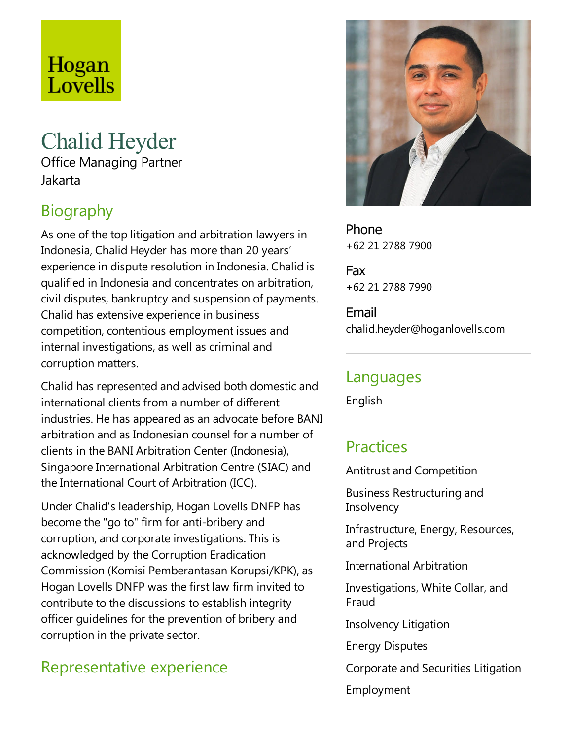# Hogan Lovells

## Chalid Heyder

Office Managing Partner Jakarta

## **Biography**

As one of the top litigation and arbitration lawyers in Indonesia, Chalid Heyder has more than 20 years' experience in dispute resolution in Indonesia. Chalid is qualified in Indonesiaand concentrates on arbitration, civil disputes, bankruptcy and suspension of payments. Chalid has extensive experience in business competition, contentious employment issues and internal investigations, as well as criminal and corruption matters.

Chalid has represented and advised both domesticand international clients from a number of different industries. He has appeared as an advocate before BANI arbitration and as Indonesian counsel for a number of clients in the BANI Arbitration Center (Indonesia), Singapore International Arbitration Centre (SIAC) and the International Court of Arbitration (ICC).

Under Chalid's leadership, Hogan Lovells DNFP has become the "go to" firm for anti-bribery and corruption, and corporate investigations. This is acknowledged by the Corruption Eradication Commission (Komisi Pemberantasan Korupsi/KPK), as Hogan Lovells DNFP was the first law firm invited to contribute to the discussions to establish integrity officer guidelines for the prevention of bribery and corruption in the private sector.

## Representative experience



Phone +62 21 2788 7900

Fax +62 21 2788 7990

Email chalid.heyder@hoganlovells.com

#### Languages

English

## **Practices**

Antitrust and Competition

Business Restructuring and **Insolvency** 

Infrastructure, Energy, Resources, and Projects

International Arbitration

Investigations, White Collar, and Fraud

Insolvency Litigation

Energy Disputes

Corporate and Securities Litigation

Employment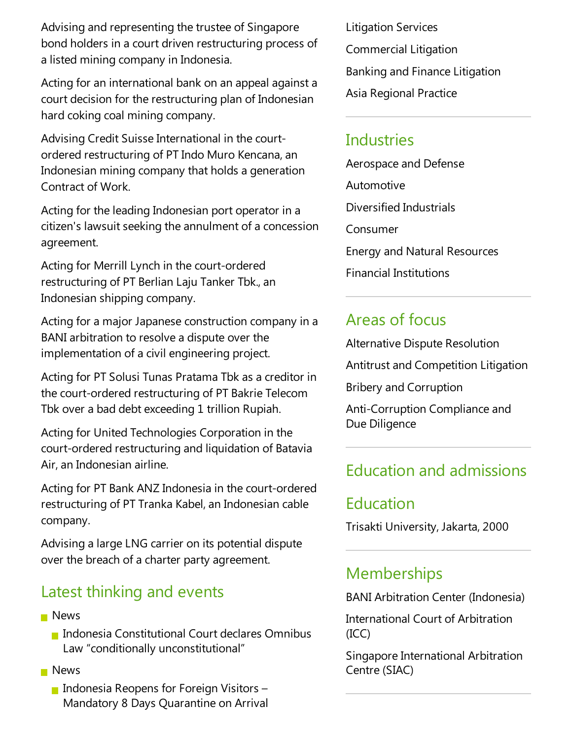Advising and representing the trustee of Singapore bond holders in acourt driven restructuring process of a listed mining company in Indonesia.

Acting for an international bank on an appeal against a court decision for the restructuring plan of Indonesian hard coking coal mining company.

Advising Credit Suisse International in the courtordered restructuring of PT Indo Muro Kencana, an Indonesian mining company that holds a generation Contract of Work.

Acting for the leading Indonesian port operator in a citizen's lawsuit seeking the annulment of a concession agreement.

Acting for Merrill Lynch in the court-ordered restructuring of PT Berlian Laju Tanker Tbk., an Indonesian shipping company.

Acting for a major Japanese construction company in a BANI arbitration to resolve a dispute over the implementation of a civil engineering project.

Acting for PT Solusi Tunas Pratama Tbk as a creditor in the court-ordered restructuring of PT Bakrie Telecom Tbk over a bad debt exceeding 1 trillion Rupiah.

Acting for United Technologies Corporation in the court-ordered restructuring and liquidation of Batavia Air,an Indonesian airline.

Acting for PT Bank ANZ Indonesia in the court-ordered restructuring of PT Tranka Kabel, an Indonesian cable company.

Advising alargeLNG carrier on its potential dispute over the breach of a charter party agreement.

#### Latest thinking and events

- **News** 
	- **Indonesia Constitutional Court declares Omnibus** Law "conditionally unconstitutional"
- **News** 
	- Indonesia Reopens for Foreign Visitors  $-$ Mandatory 8 Days Quarantine on Arrival

Litigation Services Commercial Litigation Banking and Finance Litigation Asia Regional Practice

#### **Industries**

Aerospace and Defense Automotive Diversified Industrials Consumer Energy and Natural Resources Financial Institutions

#### Areas of focus

Alternative Dispute Resolution

Antitrust and Competition Litigation

Bribery and Corruption

Anti-Corruption Compliance and Due Diligence

## Education and admissions

## Education

Trisakti University, Jakarta, 2000

## **Memberships**

BANI Arbitration Center (Indonesia)

International Court of Arbitration (ICC)

Singapore International Arbitration Centre(SIAC)